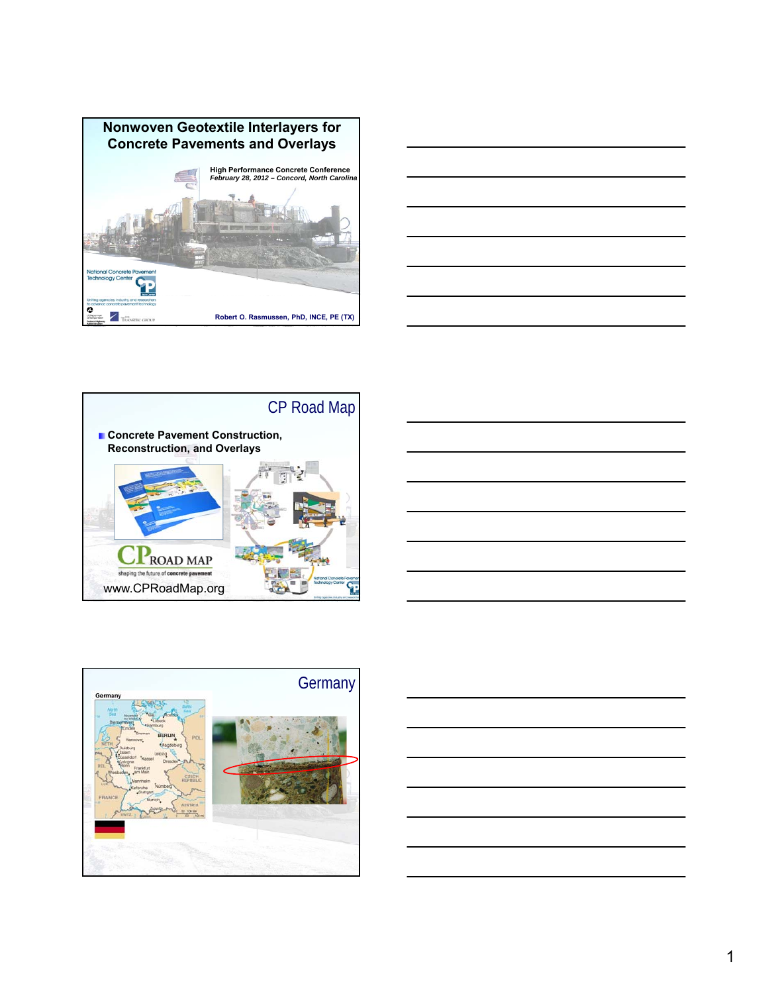









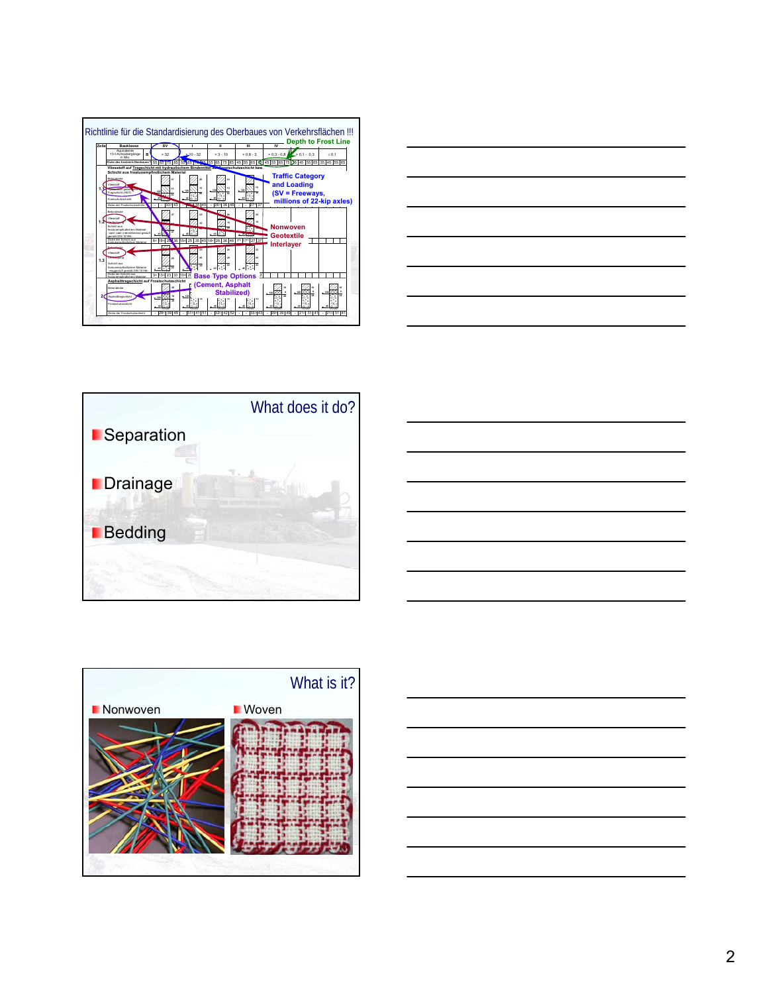









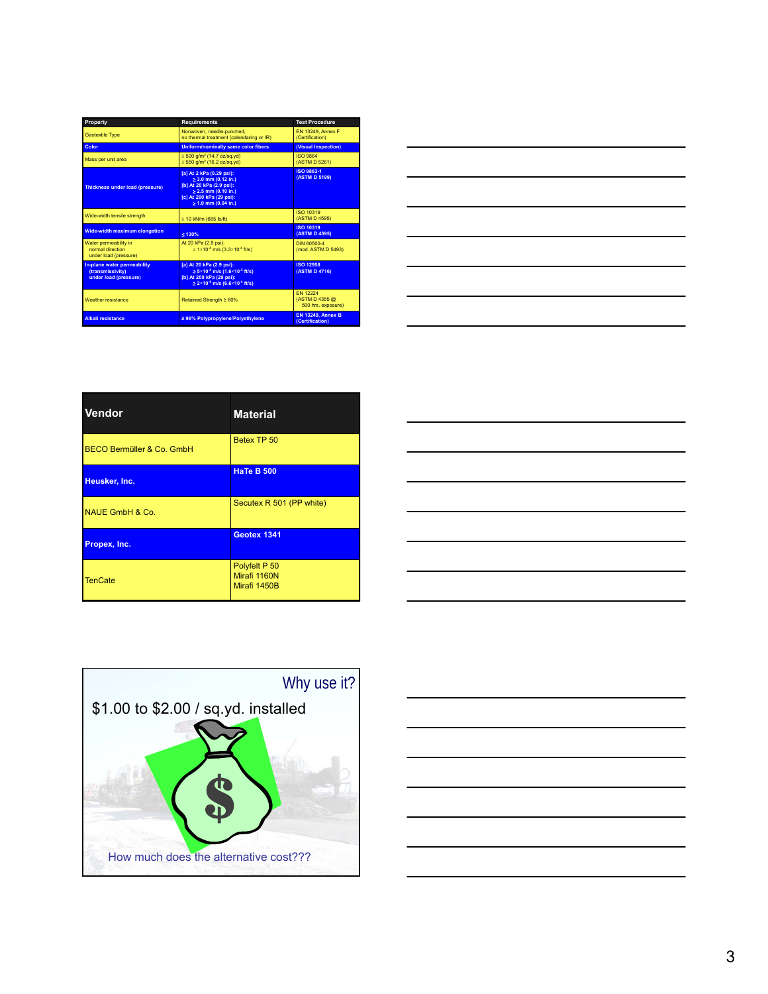| Property                                                                               | <b>Requirements</b>                                                                                                                                                      | <b>Test Procedure</b>                                   |
|----------------------------------------------------------------------------------------|--------------------------------------------------------------------------------------------------------------------------------------------------------------------------|---------------------------------------------------------|
| <b>Geotextile Type</b>                                                                 | Nonwoven, needle-punched.<br>no thermal treatment (calendaring or IR)                                                                                                    | <b>EN 13249, Annex F</b><br>(Certification)             |
| Color                                                                                  | Uniform/nominally same color fibers                                                                                                                                      | (Visual Inspection)                                     |
| Mass per unit area                                                                     | $\geq 500$ g/m <sup>2</sup> (14.7 oz/sq.yd)<br>$\leq 550$ g/m <sup>2</sup> (16.2 oz/sq.yd)                                                                               | <b>ISO 9864</b><br>(ASTM D 5261)                        |
| <b>Thickness under load (pressure)</b>                                                 | [a] At 2 kPa (0.29 psi):<br>$\geq 3.0$ mm (0.12 in.)<br>[b] At 20 kPa (2.9 psi):<br>$\geq$ 2.5 mm (0.10 in.)<br>[c] At 200 kPa (29 psi):<br>$\geq 1.0$ mm (0.04 in.)     | <b>ISO 9863-1</b><br>(ASTM D 5199)                      |
| Wide-width tensile strength                                                            | $\geq$ 10 kN/m (685 lb/ft)                                                                                                                                               | ISO 10319<br>(ASTM D 4595)                              |
| <b>Wide-width maximum elongation</b>                                                   | 5130%                                                                                                                                                                    | <b>ISO 10319</b><br>(ASTM D 4595)                       |
| Water permeability in<br>normal direction<br>under load (pressure)                     | At 20 kPa (2.9 psi):<br>$\geq 1 \times 10^{-4}$ m/s (3.3×10 <sup>-4</sup> ft/s)                                                                                          | DIN 60500-4<br>(mod. ASTM D 5493)                       |
| In-plane water permeability<br><i><b>(transmissivity)</b></i><br>under load (pressure) | [a] At 20 kPa (2.9 psi):<br>$\ge 5 \times 10^{-4}$ m/s (1.6 $\times 10^{-3}$ ft/s)<br>[b] At 200 kPa (29 psi):<br>$\ge 2 \times 10^{-4}$ m/s (6.6 $\times 10^{-4}$ ft/s) | <b>ISO 12958</b><br>(ASTM D 4716)                       |
| <b>Weather resistance</b>                                                              | Retained Strength ≥ 60%                                                                                                                                                  | <b>FN 12224</b><br>(ASTM D 4355 @<br>500 hrs. exposure) |
| <b>Alkali resistance</b>                                                               | ≥ 96% Polypropylene/Polyethylene                                                                                                                                         | <b>EN 13249, Annex B</b><br>(Certification)             |



| <b>Vendor</b>              | <b>Material</b>                               |
|----------------------------|-----------------------------------------------|
| BECO Bermüller & Co. GmbH  | Betex TP 50                                   |
| Heusker, Inc.              | <b>HaTe B 500</b>                             |
| <b>NAUE GmbH &amp; Co.</b> | Secutex R 501 (PP white)                      |
| Propex, Inc.               | Geotex 1341                                   |
| <b>TenCate</b>             | Polyfelt P 50<br>Mirafi 1160N<br>Mirafi 1450B |

|  | ___ |
|--|-----|
|  |     |
|  |     |
|  |     |
|  |     |
|  |     |
|  |     |
|  |     |
|  |     |
|  | __  |
|  |     |
|  |     |
|  | ___ |
|  |     |
|  |     |
|  |     |
|  |     |
|  |     |
|  |     |



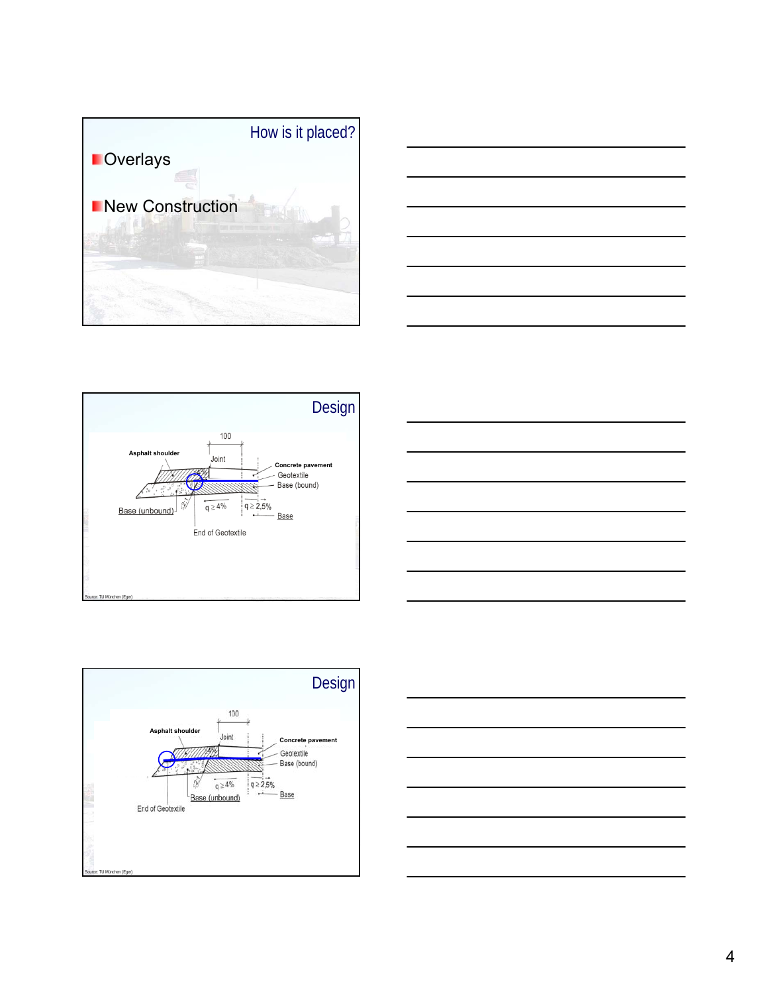









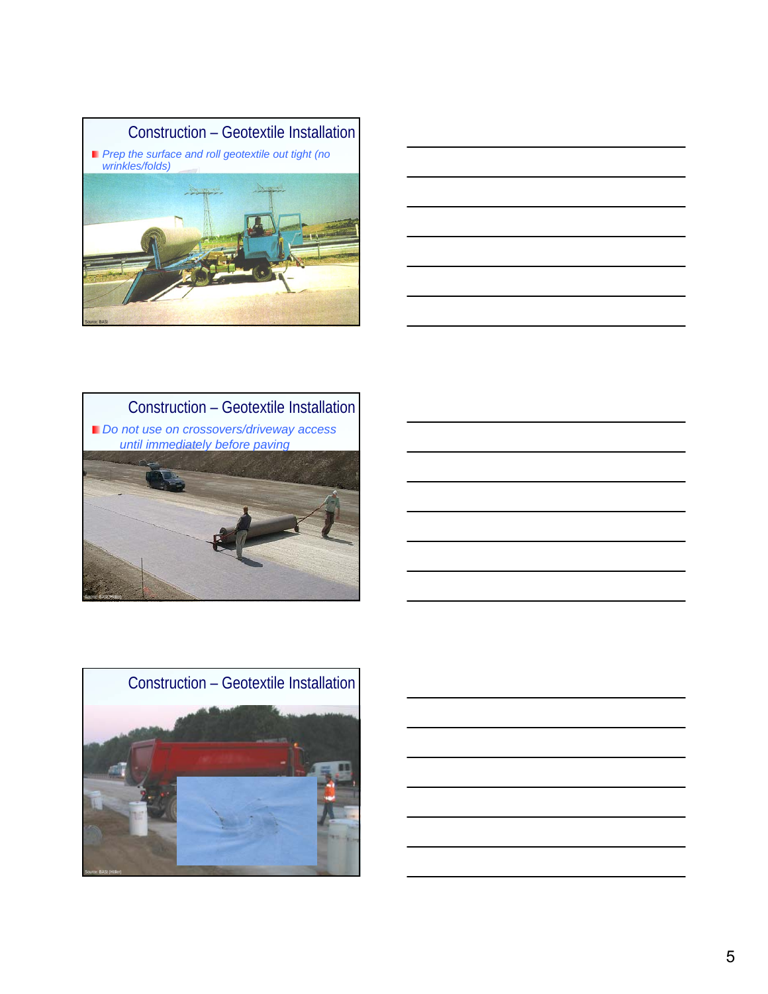







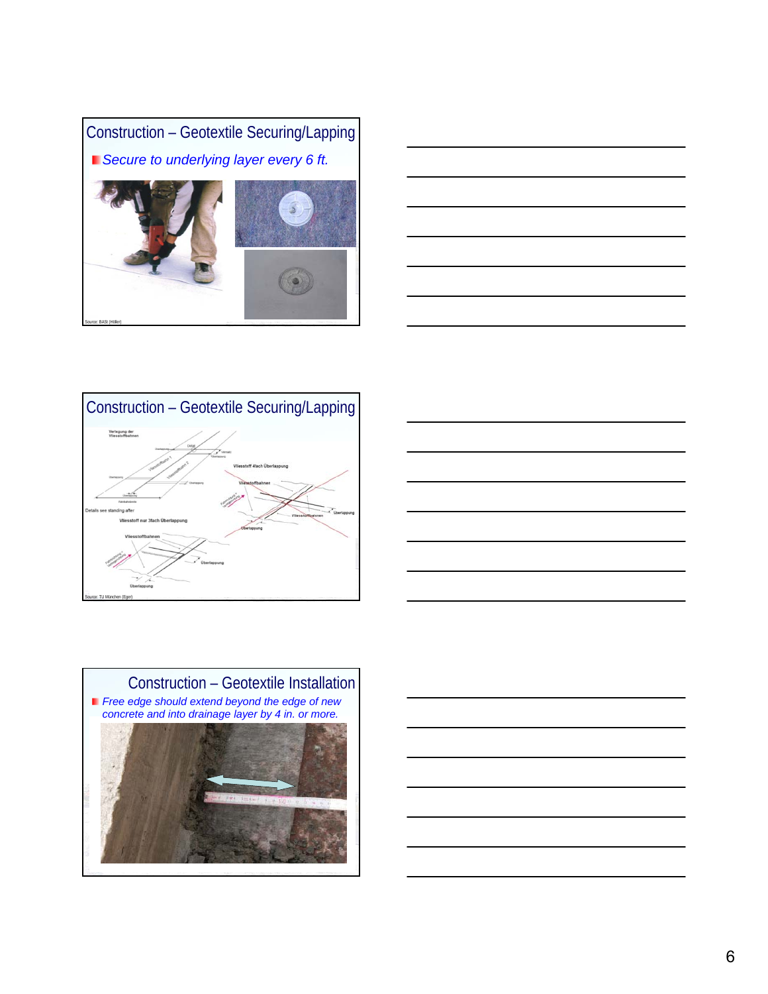







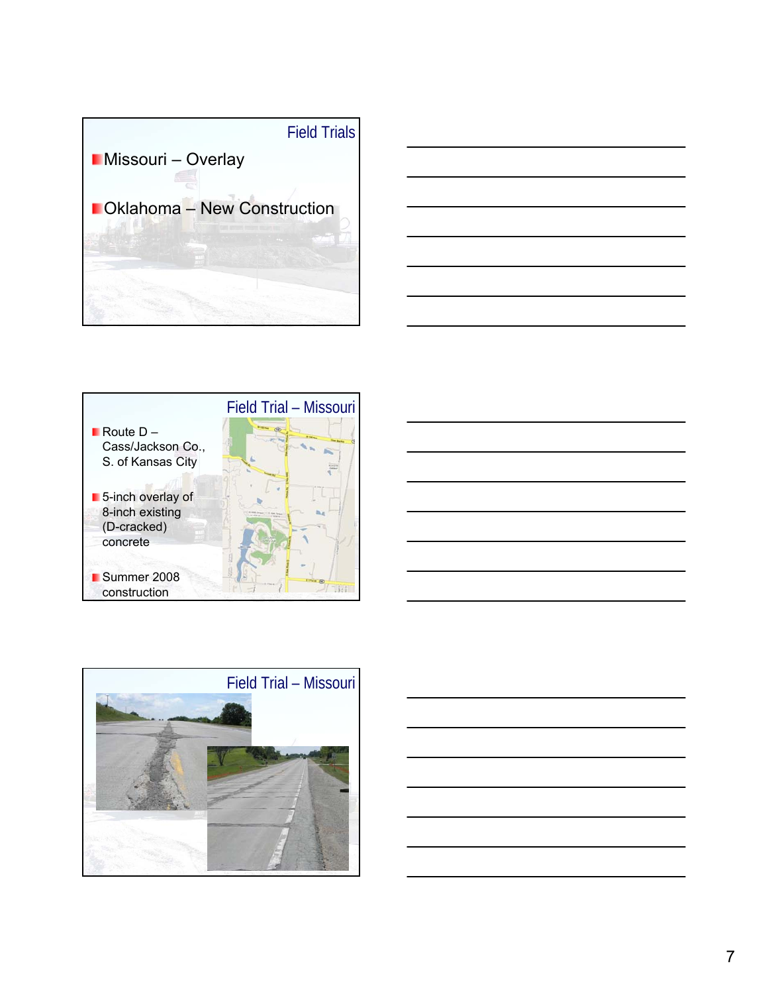







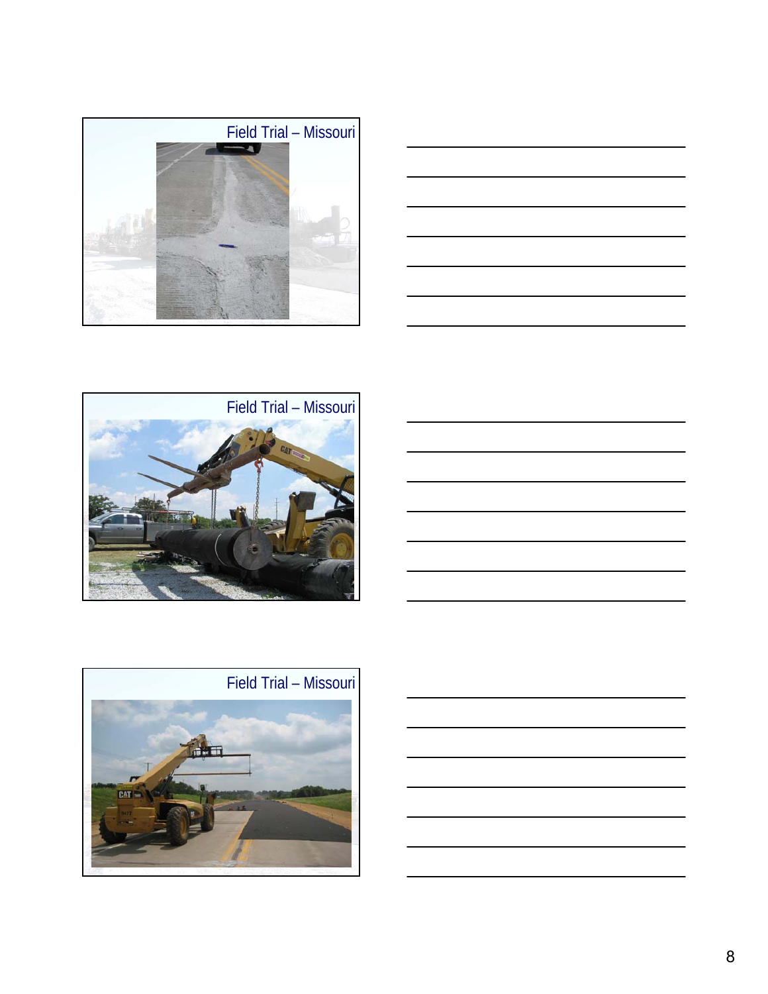









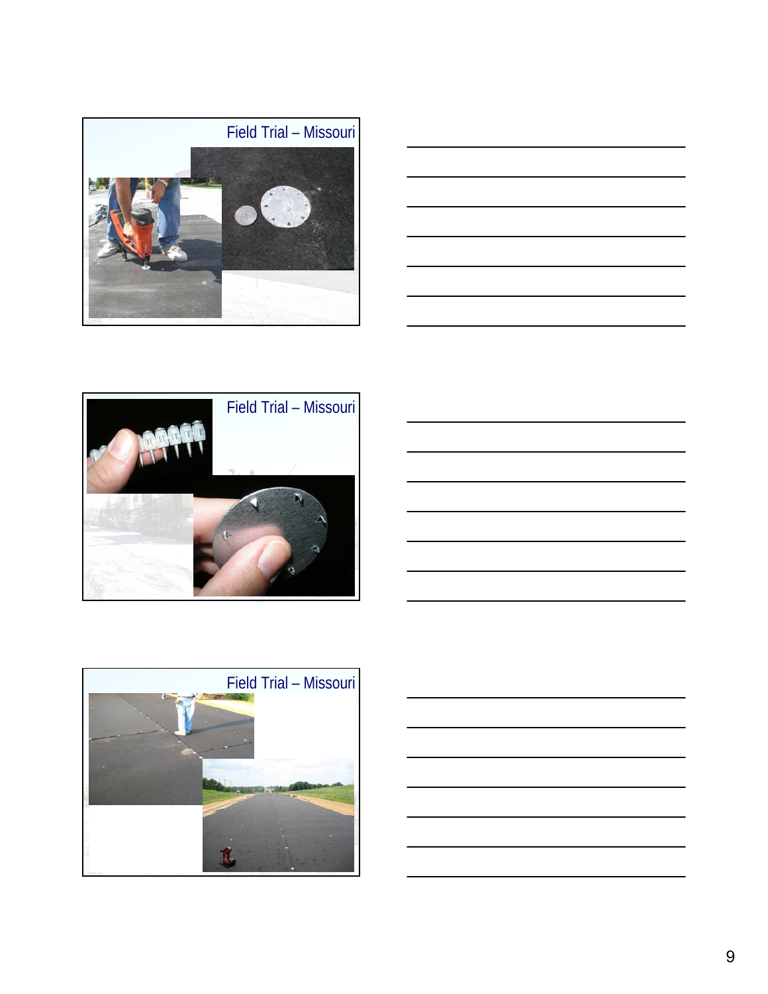









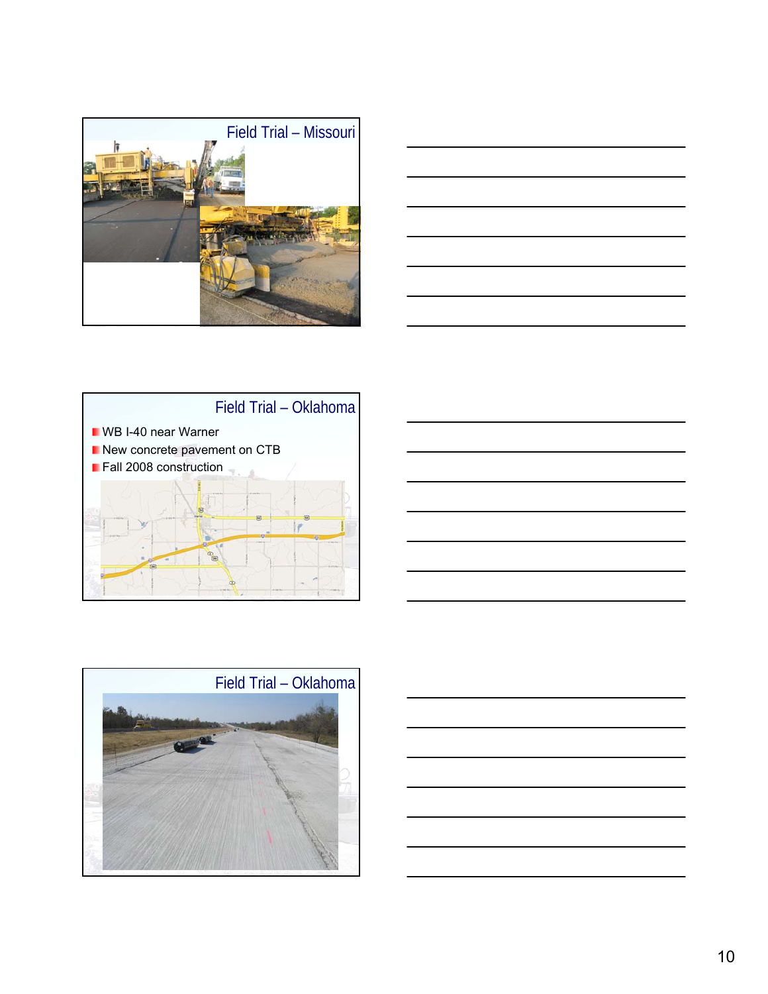









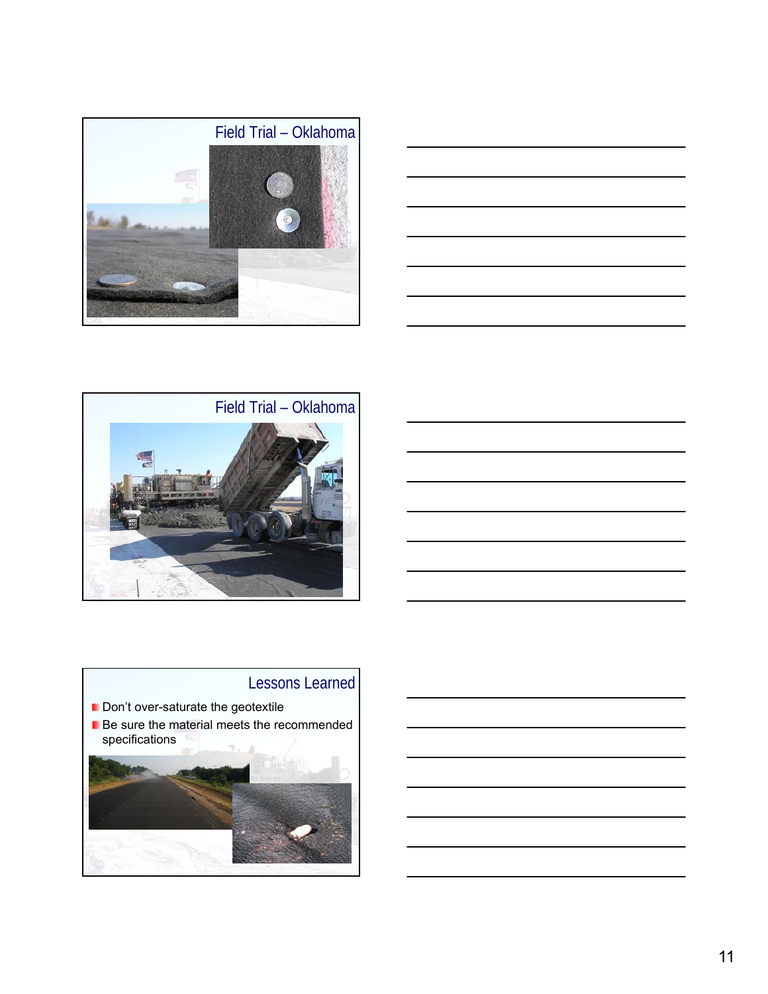